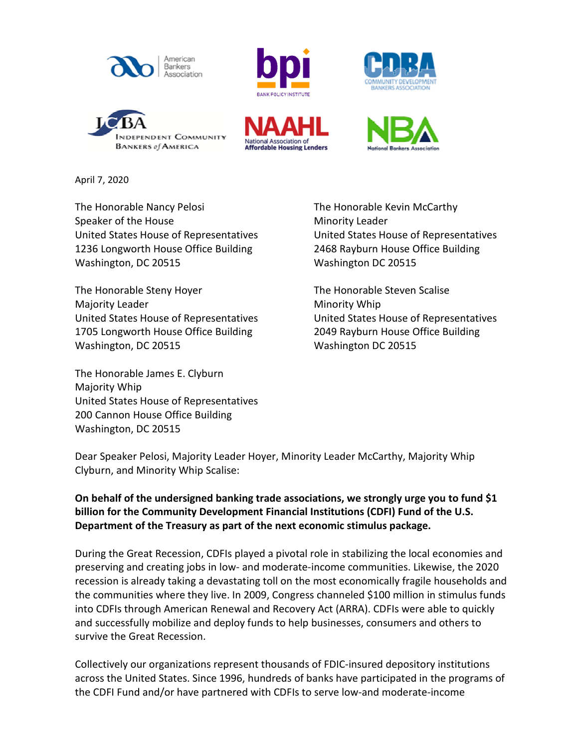











April 7, 2020

The Honorable Nancy Pelosi The Honorable Kevin McCarthy Speaker of the House Minority Leader United States House of Representatives United States House of Representatives 1236 Longworth House Office Building 2468 Rayburn House Office Building Washington, DC 20515 Washington DC 20515

The Honorable Steny Hoyer The Honorable Steven Scalise Majority Leader Minority Whip 1705 Longworth House Office Building 2049 Rayburn House Office Building Washington, DC 20515 Washington DC 20515

The Honorable James E. Clyburn Majority Whip United States House of Representatives 200 Cannon House Office Building Washington, DC 20515

United States House of Representatives United States House of Representatives

Dear Speaker Pelosi, Majority Leader Hoyer, Minority Leader McCarthy, Majority Whip Clyburn, and Minority Whip Scalise:

**On behalf of the undersigned banking trade associations, we strongly urge you to fund \$1 billion for the Community Development Financial Institutions (CDFI) Fund of the U.S. Department of the Treasury as part of the next economic stimulus package.**

During the Great Recession, CDFIs played a pivotal role in stabilizing the local economies and preserving and creating jobs in low- and moderate-income communities. Likewise, the 2020 recession is already taking a devastating toll on the most economically fragile households and the communities where they live. In 2009, Congress channeled \$100 million in stimulus funds into CDFIs through American Renewal and Recovery Act (ARRA). CDFIs were able to quickly and successfully mobilize and deploy funds to help businesses, consumers and others to survive the Great Recession.

Collectively our organizations represent thousands of FDIC-insured depository institutions across the United States. Since 1996, hundreds of banks have participated in the programs of the CDFI Fund and/or have partnered with CDFIs to serve low-and moderate-income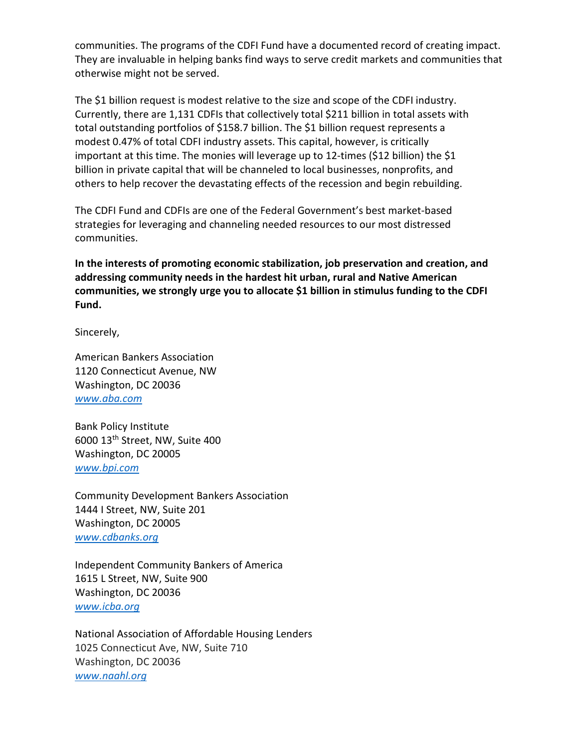communities. The programs of the CDFI Fund have a documented record of creating impact. They are invaluable in helping banks find ways to serve credit markets and communities that otherwise might not be served.

The \$1 billion request is modest relative to the size and scope of the CDFI industry. Currently, there are 1,131 CDFIs that collectively total \$211 billion in total assets with total outstanding portfolios of \$158.7 billion. The \$1 billion request represents a modest 0.47% of total CDFI industry assets. This capital, however, is critically important at this time. The monies will leverage up to 12-times (\$12 billion) the \$1 billion in private capital that will be channeled to local businesses, nonprofits, and others to help recover the devastating effects of the recession and begin rebuilding.

The CDFI Fund and CDFIs are one of the Federal Government's best market-based strategies for leveraging and channeling needed resources to our most distressed communities.

**In the interests of promoting economic stabilization, job preservation and creation, and addressing community needs in the hardest hit urban, rural and Native American communities, we strongly urge you to allocate \$1 billion in stimulus funding to the CDFI Fund.** 

Sincerely,

American Bankers Association 1120 Connecticut Avenue, NW Washington, DC 20036 *[www.aba.com](http://www.aba.com/)*

Bank Policy Institute 6000 13th Street, NW, Suite 400 Washington, DC 20005 *[www.bpi.com](http://www.bpi.com/)*

Community Development Bankers Association 1444 I Street, NW, Suite 201 Washington, DC 20005 *[www.cdbanks.org](http://www.cdbanks.org/)*

Independent Community Bankers of America 1615 L Street, NW, Suite 900 Washington, DC 20036 *[www.icba.org](http://www.icba.org/)*

National Association of Affordable Housing Lenders 1025 Connecticut Ave, NW, Suite 710 Washington, DC 20036 *www.naahl.org*